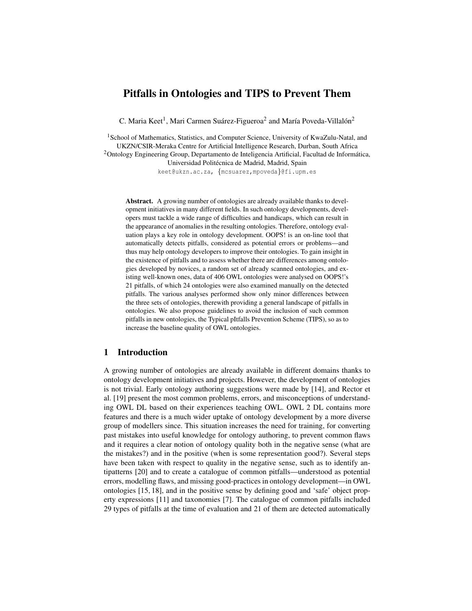# Pitfalls in Ontologies and TIPS to Prevent Them

C. Maria Keet<sup>1</sup>, Mari Carmen Suárez-Figueroa<sup>2</sup> and María Poveda-Villalón<sup>2</sup>

<sup>1</sup>School of Mathematics, Statistics, and Computer Science, University of KwaZulu-Natal, and UKZN/CSIR-Meraka Centre for Artificial Intelligence Research, Durban, South Africa  $2$ Ontology Engineering Group, Departamento de Inteligencia Artificial, Facultad de Informática, Universidad Politécnica de Madrid, Madrid, Spain

keet@ukzn.ac.za, {mcsuarez,mpoveda}@fi.upm.es

Abstract. A growing number of ontologies are already available thanks to development initiatives in many different fields. In such ontology developments, developers must tackle a wide range of difficulties and handicaps, which can result in the appearance of anomalies in the resulting ontologies. Therefore, ontology evaluation plays a key role in ontology development. OOPS! is an on-line tool that automatically detects pitfalls, considered as potential errors or problems—and thus may help ontology developers to improve their ontologies. To gain insight in the existence of pitfalls and to assess whether there are differences among ontologies developed by novices, a random set of already scanned ontologies, and existing well-known ones, data of 406 OWL ontologies were analysed on OOPS!'s 21 pitfalls, of which 24 ontologies were also examined manually on the detected pitfalls. The various analyses performed show only minor differences between the three sets of ontologies, therewith providing a general landscape of pitfalls in ontologies. We also propose guidelines to avoid the inclusion of such common pitfalls in new ontologies, the Typical pItfalls Prevention Scheme (TIPS), so as to increase the baseline quality of OWL ontologies.

## 1 Introduction

A growing number of ontologies are already available in different domains thanks to ontology development initiatives and projects. However, the development of ontologies is not trivial. Early ontology authoring suggestions were made by [14], and Rector et al. [19] present the most common problems, errors, and misconceptions of understanding OWL DL based on their experiences teaching OWL. OWL 2 DL contains more features and there is a much wider uptake of ontology development by a more diverse group of modellers since. This situation increases the need for training, for converting past mistakes into useful knowledge for ontology authoring, to prevent common flaws and it requires a clear notion of ontology quality both in the negative sense (what are the mistakes?) and in the positive (when is some representation good?). Several steps have been taken with respect to quality in the negative sense, such as to identify antipatterns [20] and to create a catalogue of common pitfalls—understood as potential errors, modelling flaws, and missing good-practices in ontology development—in OWL ontologies [15, 18], and in the positive sense by defining good and 'safe' object property expressions [11] and taxonomies [7]. The catalogue of common pitfalls included 29 types of pitfalls at the time of evaluation and 21 of them are detected automatically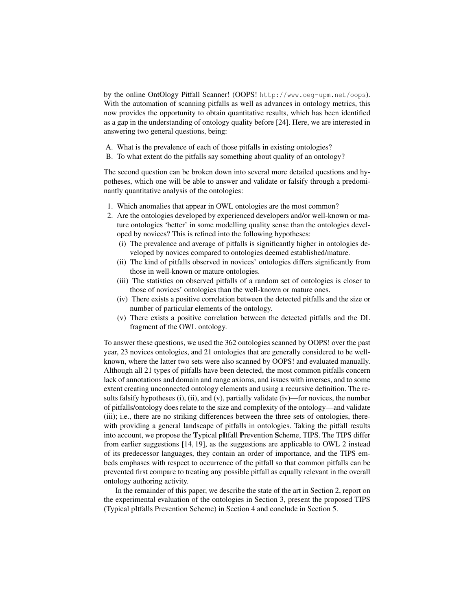by the online OntOlogy Pitfall Scanner! (OOPS! http://www.oeg-upm.net/oops). With the automation of scanning pitfalls as well as advances in ontology metrics, this now provides the opportunity to obtain quantitative results, which has been identified as a gap in the understanding of ontology quality before [24]. Here, we are interested in answering two general questions, being:

- A. What is the prevalence of each of those pitfalls in existing ontologies?
- B. To what extent do the pitfalls say something about quality of an ontology?

The second question can be broken down into several more detailed questions and hypotheses, which one will be able to answer and validate or falsify through a predominantly quantitative analysis of the ontologies:

- 1. Which anomalies that appear in OWL ontologies are the most common?
- 2. Are the ontologies developed by experienced developers and/or well-known or mature ontologies 'better' in some modelling quality sense than the ontologies developed by novices? This is refined into the following hypotheses:
	- (i) The prevalence and average of pitfalls is significantly higher in ontologies developed by novices compared to ontologies deemed established/mature.
	- (ii) The kind of pitfalls observed in novices' ontologies differs significantly from those in well-known or mature ontologies.
	- (iii) The statistics on observed pitfalls of a random set of ontologies is closer to those of novices' ontologies than the well-known or mature ones.
	- (iv) There exists a positive correlation between the detected pitfalls and the size or number of particular elements of the ontology.
	- (v) There exists a positive correlation between the detected pitfalls and the DL fragment of the OWL ontology.

To answer these questions, we used the 362 ontologies scanned by OOPS! over the past year, 23 novices ontologies, and 21 ontologies that are generally considered to be wellknown, where the latter two sets were also scanned by OOPS! and evaluated manually. Although all 21 types of pitfalls have been detected, the most common pitfalls concern lack of annotations and domain and range axioms, and issues with inverses, and to some extent creating unconnected ontology elements and using a recursive definition. The results falsify hypotheses (i), (ii), and (v), partially validate (iv)—for novices, the number of pitfalls/ontology does relate to the size and complexity of the ontology—and validate (iii); i.e., there are no striking differences between the three sets of ontologies, therewith providing a general landscape of pitfalls in ontologies. Taking the pitfall results into account, we propose the Typical pItfall Prevention Scheme, TIPS. The TIPS differ from earlier suggestions [14, 19], as the suggestions are applicable to OWL 2 instead of its predecessor languages, they contain an order of importance, and the TIPS embeds emphases with respect to occurrence of the pitfall so that common pitfalls can be prevented first compare to treating any possible pitfall as equally relevant in the overall ontology authoring activity.

In the remainder of this paper, we describe the state of the art in Section 2, report on the experimental evaluation of the ontologies in Section 3, present the proposed TIPS (Typical pItfalls Prevention Scheme) in Section 4 and conclude in Section 5.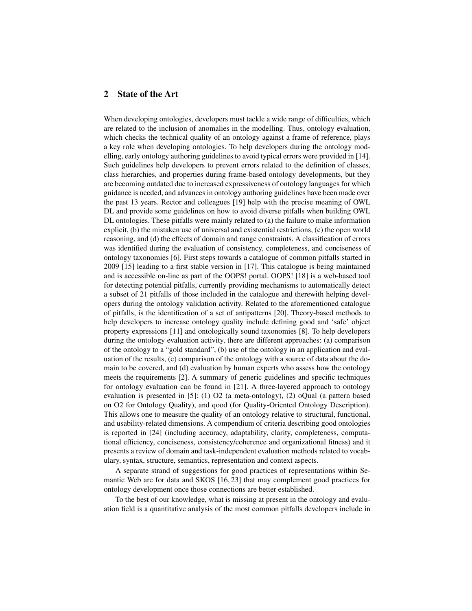## 2 State of the Art

When developing ontologies, developers must tackle a wide range of difficulties, which are related to the inclusion of anomalies in the modelling. Thus, ontology evaluation, which checks the technical quality of an ontology against a frame of reference, plays a key role when developing ontologies. To help developers during the ontology modelling, early ontology authoring guidelines to avoid typical errors were provided in [14]. Such guidelines help developers to prevent errors related to the definition of classes, class hierarchies, and properties during frame-based ontology developments, but they are becoming outdated due to increased expressiveness of ontology languages for which guidance is needed, and advances in ontology authoring guidelines have been made over the past 13 years. Rector and colleagues [19] help with the precise meaning of OWL DL and provide some guidelines on how to avoid diverse pitfalls when building OWL DL ontologies. These pitfalls were mainly related to (a) the failure to make information explicit, (b) the mistaken use of universal and existential restrictions, (c) the open world reasoning, and (d) the effects of domain and range constraints. A classification of errors was identified during the evaluation of consistency, completeness, and conciseness of ontology taxonomies [6]. First steps towards a catalogue of common pitfalls started in 2009 [15] leading to a first stable version in [17]. This catalogue is being maintained and is accessible on-line as part of the OOPS! portal. OOPS! [18] is a web-based tool for detecting potential pitfalls, currently providing mechanisms to automatically detect a subset of 21 pitfalls of those included in the catalogue and therewith helping developers during the ontology validation activity. Related to the aforementioned catalogue of pitfalls, is the identification of a set of antipatterns [20]. Theory-based methods to help developers to increase ontology quality include defining good and 'safe' object property expressions [11] and ontologically sound taxonomies [8]. To help developers during the ontology evaluation activity, there are different approaches: (a) comparison of the ontology to a "gold standard", (b) use of the ontology in an application and evaluation of the results, (c) comparison of the ontology with a source of data about the domain to be covered, and (d) evaluation by human experts who assess how the ontology meets the requirements [2]. A summary of generic guidelines and specific techniques for ontology evaluation can be found in [21]. A three-layered approach to ontology evaluation is presented in [5]: (1) O2 (a meta-ontology), (2) oQual (a pattern based on O2 for Ontology Quality), and qood (for Quality-Oriented Ontology Description). This allows one to measure the quality of an ontology relative to structural, functional, and usability-related dimensions. A compendium of criteria describing good ontologies is reported in [24] (including accuracy, adaptability, clarity, completeness, computational efficiency, conciseness, consistency/coherence and organizational fitness) and it presents a review of domain and task-independent evaluation methods related to vocabulary, syntax, structure, semantics, representation and context aspects.

A separate strand of suggestions for good practices of representations within Semantic Web are for data and SKOS [16, 23] that may complement good practices for ontology development once those connections are better established.

To the best of our knowledge, what is missing at present in the ontology and evaluation field is a quantitative analysis of the most common pitfalls developers include in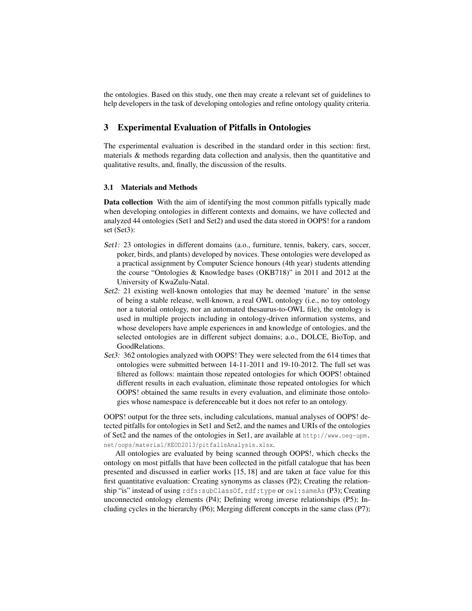the ontologies. Based on this study, one then may create a relevant set of guidelines to help developers in the task of developing ontologies and refine ontology quality criteria.

### 3 Experimental Evaluation of Pitfalls in Ontologies

The experimental evaluation is described in the standard order in this section: first, materials & methods regarding data collection and analysis, then the quantitative and qualitative results, and, finally, the discussion of the results.

#### 3.1 Materials and Methods

Data collection With the aim of identifying the most common pitfalls typically made when developing ontologies in different contexts and domains, we have collected and analyzed 44 ontologies (Set1 and Set2) and used the data stored in OOPS! for a random set (Set3):

- Set1: 23 ontologies in different domains (a.o., furniture, tennis, bakery, cars, soccer, poker, birds, and plants) developed by novices. These ontologies were developed as a practical assignment by Computer Science honours (4th year) students attending the course "Ontologies & Knowledge bases (OKB718)" in 2011 and 2012 at the University of KwaZulu-Natal.
- Set2: 21 existing well-known ontologies that may be deemed 'mature' in the sense of being a stable release, well-known, a real OWL ontology (i.e., no toy ontology nor a tutorial ontology, nor an automated thesaurus-to-OWL file), the ontology is used in multiple projects including in ontology-driven information systems, and whose developers have ample experiences in and knowledge of ontologies, and the selected ontologies are in different subject domains; a.o., DOLCE, BioTop, and GoodRelations.
- Set3: 362 ontologies analyzed with OOPS! They were selected from the 614 times that ontologies were submitted between 14-11-2011 and 19-10-2012. The full set was filtered as follows: maintain those repeated ontologies for which OOPS! obtained different results in each evaluation, eliminate those repeated ontologies for which OOPS! obtained the same results in every evaluation, and eliminate those ontologies whose namespace is deferenceable but it does not refer to an ontology.

OOPS! output for the three sets, including calculations, manual analyses of OOPS! detected pitfalls for ontologies in Set1 and Set2, and the names and URIs of the ontologies of Set2 and the names of the ontologies in Set1, are available at http://www.oeg-upm. net/oops/material/KEOD2013/pitfallsAnalysis.xlsx.

All ontologies are evaluated by being scanned through OOPS!, which checks the ontology on most pitfalls that have been collected in the pitfall catalogue that has been presented and discussed in earlier works [15, 18] and are taken at face value for this first quantitative evaluation: Creating synonyms as classes (P2); Creating the relationship "is" instead of using rdfs:subClassOf, rdf:type or owl:sameAs (P3); Creating unconnected ontology elements (P4); Defining wrong inverse relationships (P5); Including cycles in the hierarchy (P6); Merging different concepts in the same class (P7);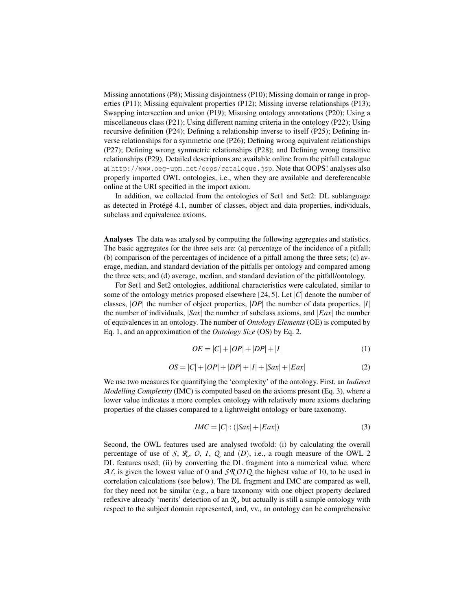Missing annotations (P8); Missing disjointness (P10); Missing domain or range in properties (P11); Missing equivalent properties (P12); Missing inverse relationships (P13); Swapping intersection and union (P19); Misusing ontology annotations (P20); Using a miscellaneous class (P21); Using different naming criteria in the ontology (P22); Using recursive definition (P24); Defining a relationship inverse to itself (P25); Defining inverse relationships for a symmetric one (P26); Defining wrong equivalent relationships (P27); Defining wrong symmetric relationships (P28); and Defining wrong transitive relationships (P29). Detailed descriptions are available online from the pitfall catalogue at http://www.oeg-upm.net/oops/catalogue.jsp. Note that OOPS! analyses also properly imported OWL ontologies, i.e., when they are available and dereferencable online at the URI specified in the import axiom.

In addition, we collected from the ontologies of Set1 and Set2: DL sublanguage as detected in Protégé 4.1, number of classes, object and data properties, individuals, subclass and equivalence axioms.

Analyses The data was analysed by computing the following aggregates and statistics. The basic aggregates for the three sets are: (a) percentage of the incidence of a pitfall; (b) comparison of the percentages of incidence of a pitfall among the three sets; (c) average, median, and standard deviation of the pitfalls per ontology and compared among the three sets; and (d) average, median, and standard deviation of the pitfall/ontology.

For Set1 and Set2 ontologies, additional characteristics were calculated, similar to some of the ontology metrics proposed elsewhere  $[24, 5]$ . Let  $|C|$  denote the number of classes, |*OP*| the number of object properties, |*DP*| the number of data properties, |*I*| the number of individuals, |*Sax*| the number of subclass axioms, and |*Eax*| the number of equivalences in an ontology. The number of *Ontology Elements* (OE) is computed by Eq. 1, and an approximation of the *Ontology Size* (OS) by Eq. 2.

$$
OE = |C| + |OP| + |DP| + |I|
$$
 (1)

$$
OS = |C| + |OP| + |DP| + |I| + |Sax| + |Eax|
$$
 (2)

We use two measures for quantifying the 'complexity' of the ontology. First, an *Indirect Modelling Complexity* (IMC) is computed based on the axioms present (Eq. 3), where a lower value indicates a more complex ontology with relatively more axioms declaring properties of the classes compared to a lightweight ontology or bare taxonomy.

$$
IMC = |C| : (|Sax| + |Eax|)
$$
\n<sup>(3)</sup>

Second, the OWL features used are analysed twofold: (i) by calculating the overall percentage of use of  $S$ ,  $R$ ,  $O$ ,  $I$ ,  $Q$  and  $(D)$ , i.e., a rough measure of the OWL 2 DL features used; (ii) by converting the DL fragment into a numerical value, where *AL* is given the lowest value of 0 and *SR OI Q* the highest value of 10, to be used in correlation calculations (see below). The DL fragment and IMC are compared as well, for they need not be similar (e.g., a bare taxonomy with one object property declared reflexive already 'merits' detection of an  $\mathcal{R}$ , but actually is still a simple ontology with respect to the subject domain represented, and, vv., an ontology can be comprehensive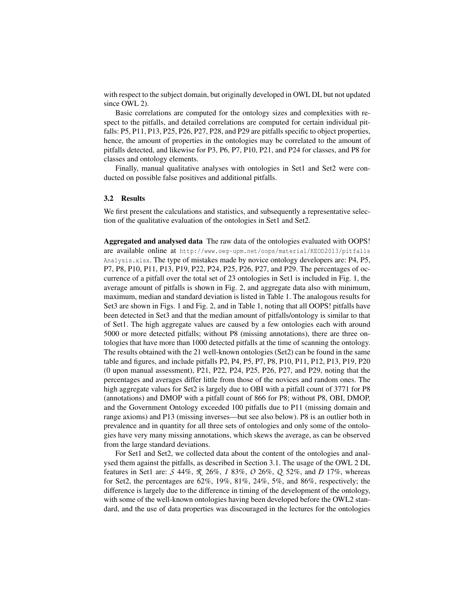with respect to the subject domain, but originally developed in OWL DL but not updated since OWL 2).

Basic correlations are computed for the ontology sizes and complexities with respect to the pitfalls, and detailed correlations are computed for certain individual pitfalls: P5, P11, P13, P25, P26, P27, P28, and P29 are pitfalls specific to object properties, hence, the amount of properties in the ontologies may be correlated to the amount of pitfalls detected, and likewise for P3, P6, P7, P10, P21, and P24 for classes, and P8 for classes and ontology elements.

Finally, manual qualitative analyses with ontologies in Set1 and Set2 were conducted on possible false positives and additional pitfalls.

#### 3.2 Results

We first present the calculations and statistics, and subsequently a representative selection of the qualitative evaluation of the ontologies in Set1 and Set2.

Aggregated and analysed data The raw data of the ontologies evaluated with OOPS! are available online at http://www.oeg-upm.net/oops/material/KEOD2013/pitfalls Analysis.xlsx. The type of mistakes made by novice ontology developers are: P4, P5, P7, P8, P10, P11, P13, P19, P22, P24, P25, P26, P27, and P29. The percentages of occurrence of a pitfall over the total set of 23 ontologies in Set1 is included in Fig. 1, the average amount of pitfalls is shown in Fig. 2, and aggregate data also with minimum, maximum, median and standard deviation is listed in Table 1. The analogous results for Set3 are shown in Figs. 1 and Fig. 2, and in Table 1, noting that all OOPS! pitfalls have been detected in Set3 and that the median amount of pitfalls/ontology is similar to that of Set1. The high aggregate values are caused by a few ontologies each with around 5000 or more detected pitfalls; without P8 (missing annotations), there are three ontologies that have more than 1000 detected pitfalls at the time of scanning the ontology. The results obtained with the 21 well-known ontologies (Set2) can be found in the same table and figures, and include pitfalls P2, P4, P5, P7, P8, P10, P11, P12, P13, P19, P20 (0 upon manual assessment), P21, P22, P24, P25, P26, P27, and P29, noting that the percentages and averages differ little from those of the novices and random ones. The high aggregate values for Set2 is largely due to OBI with a pitfall count of 3771 for P8 (annotations) and DMOP with a pitfall count of 866 for P8; without P8, OBI, DMOP, and the Government Ontology exceeded 100 pitfalls due to P11 (missing domain and range axioms) and P13 (missing inverses—but see also below). P8 is an outlier both in prevalence and in quantity for all three sets of ontologies and only some of the ontologies have very many missing annotations, which skews the average, as can be observed from the large standard deviations.

For Set1 and Set2, we collected data about the content of the ontologies and analysed them against the pitfalls, as described in Section 3.1. The usage of the OWL 2 DL features in Set1 are: *S* 44%, *R* 26%, *I* 83%, *O* 26%, *Q* 52%, and *D* 17%, whereas for Set2, the percentages are 62%, 19%, 81%, 24%, 5%, and 86%, respectively; the difference is largely due to the difference in timing of the development of the ontology, with some of the well-known ontologies having been developed before the OWL2 standard, and the use of data properties was discouraged in the lectures for the ontologies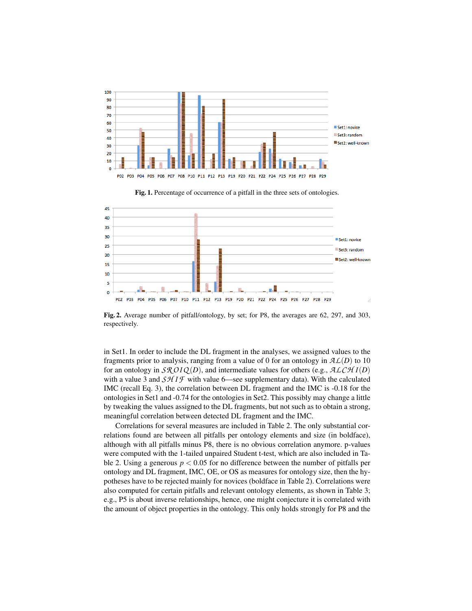

Fig. 1. Percentage of occurrence of a pitfall in the three sets of ontologies.



Fig. 2. Average number of pitfall/ontology, by set; for P8, the averages are 62, 297, and 303, respectively.

in Set1. In order to include the DL fragment in the analyses, we assigned values to the fragments prior to analysis, ranging from a value of 0 for an ontology in  $AL(D)$  to 10 for an ontology in  $\mathcal{SRO}IQ(D)$ , and intermediate values for others (e.g.,  $\mathcal{ALCH}ID$ ) with a value 3 and  $S \mathcal{H} I \mathcal{F}$  with value 6—see supplementary data). With the calculated IMC (recall Eq. 3), the correlation between DL fragment and the IMC is -0.18 for the ontologies in Set1 and -0.74 for the ontologies in Set2. This possibly may change a little by tweaking the values assigned to the DL fragments, but not such as to obtain a strong, meaningful correlation between detected DL fragment and the IMC.

Correlations for several measures are included in Table 2. The only substantial correlations found are between all pitfalls per ontology elements and size (in boldface), although with all pitfalls minus P8, there is no obvious correlation anymore. p-values were computed with the 1-tailed unpaired Student t-test, which are also included in Table 2. Using a generous  $p < 0.05$  for no difference between the number of pitfalls per ontology and DL fragment, IMC, OE, or OS as measures for ontology size, then the hypotheses have to be rejected mainly for novices (boldface in Table 2). Correlations were also computed for certain pitfalls and relevant ontology elements, as shown in Table 3; e.g., P5 is about inverse relationships, hence, one might conjecture it is correlated with the amount of object properties in the ontology. This only holds strongly for P8 and the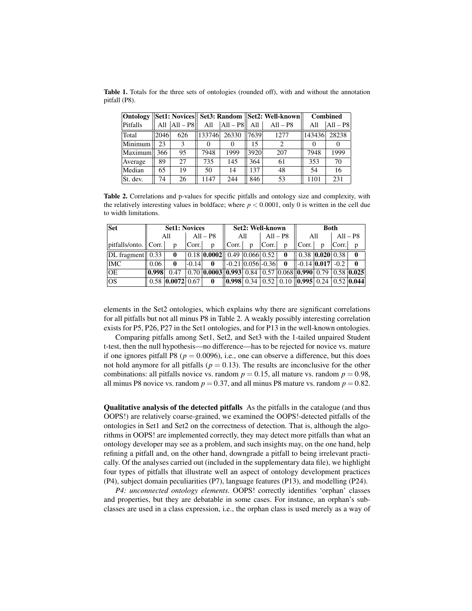Table 1. Totals for the three sets of ontologies (rounded off), with and without the annotation pitfall (P8).

| <b>Ontology</b> |      |                  | Set1: Novices   Set3: Random   Set2: Well-known |                   |      |            | <b>Combined</b> |            |  |
|-----------------|------|------------------|-------------------------------------------------|-------------------|------|------------|-----------------|------------|--|
| Pitfalls        |      | All $ All - P8 $ | All                                             | $ All - P8   All$ |      | $All - P8$ | All             | $All - P8$ |  |
| Total           | 2046 | 626              | 133746  26330                                   |                   | 7639 | 1277       | 143436          | 28238      |  |
| Minimum         | 23   | 3                |                                                 |                   | 15   |            |                 |            |  |
| Maximum         | 366  | 95               | 7948                                            | 1999              | 3920 | 207        | 7948            | 1999       |  |
| Average         | 89   | 27               | 735                                             | 145               | 364  | 61         | 353             | 70         |  |
| Median          | 65   | 19               | 50                                              | 14                | 137  | 48         | .54             | 16         |  |
| St. dev.        | 74   | 26               | 1147                                            | 244               | 846  | 53         | 1101            | 231        |  |

Table 2. Correlations and p-values for specific pitfalls and ontology size and complexity, with the relatively interesting values in boldface; where  $p < 0.0001$ , only 0 is written in the cell due to width limitations.

| <b>Set</b>              | <b>Set1: Novices</b> |             |            | Set2: Well-known                                                     |       |                          | <b>Both</b> |      |                                                    |                       |            |              |
|-------------------------|----------------------|-------------|------------|----------------------------------------------------------------------|-------|--------------------------|-------------|------|----------------------------------------------------|-----------------------|------------|--------------|
|                         | All                  |             | $All - PS$ |                                                                      | All   |                          | $All - PS$  |      | All                                                |                       | $All - P8$ |              |
| pitfalls/onto.    Corr. |                      |             | Corr.      | D                                                                    | Corr. | D                        | Corr.       | D    | Corr.                                              |                       | Corr.      | D            |
| $ DL$ fragment $ $ 0.33 |                      |             |            | $0.18$   0.0002   0.49   0.066   0.52                                |       |                          |             | 0    |                                                    | $0.38$   0.020   0.38 |            | $\mathbf{0}$ |
| IMC                     | 0.06                 |             | $-0.14$    | 0                                                                    |       | $-0.21$ $ 0.056$ $-0.36$ |             | 0    | $\left  -0.14 \right $ 0.017 $\left  -0.2 \right $ |                       |            | $\mathbf{0}$ |
| OE                      | 0.998                | 0.47        |            | $0.70$  0.0003  0.993  0.84   0.57  0.068  0.990  0.79   0.58  0.025 |       |                          |             |      |                                                    |                       |            |              |
| los                     | 0.58                 | 0.0072 0.67 |            | 0                                                                    | 0.998 | 0.34                     | 0.52        | 0.10 | 0.995  0.24  0.52  0.044                           |                       |            |              |

elements in the Set2 ontologies, which explains why there are significant correlations for all pitfalls but not all minus P8 in Table 2. A weakly possibly interesting correlation exists for P5, P26, P27 in the Set1 ontologies, and for P13 in the well-known ontologies.

Comparing pitfalls among Set1, Set2, and Set3 with the 1-tailed unpaired Student t-test, then the null hypothesis—no difference—has to be rejected for novice vs. mature if one ignores pitfall P8 ( $p = 0.0096$ ), i.e., one can observe a difference, but this does not hold anymore for all pitfalls ( $p = 0.13$ ). The results are inconclusive for the other combinations: all pitfalls novice vs. random  $p = 0.15$ , all mature vs. random  $p = 0.98$ , all minus P8 novice vs. random  $p = 0.37$ , and all minus P8 mature vs. random  $p = 0.82$ .

Qualitative analysis of the detected pitfalls As the pitfalls in the catalogue (and thus OOPS!) are relatively coarse-grained, we examined the OOPS!-detected pitfalls of the ontologies in Set1 and Set2 on the correctness of detection. That is, although the algorithms in OOPS! are implemented correctly, they may detect more pitfalls than what an ontology developer may see as a problem, and such insights may, on the one hand, help refining a pitfall and, on the other hand, downgrade a pitfall to being irrelevant practically. Of the analyses carried out (included in the supplementary data file), we highlight four types of pitfalls that illustrate well an aspect of ontology development practices (P4), subject domain peculiarities (P7), language features (P13), and modelling (P24).

*P4: unconnected ontology elements.* OOPS! correctly identifies 'orphan' classes and properties, but they are debatable in some cases. For instance, an orphan's subclasses are used in a class expression, i.e., the orphan class is used merely as a way of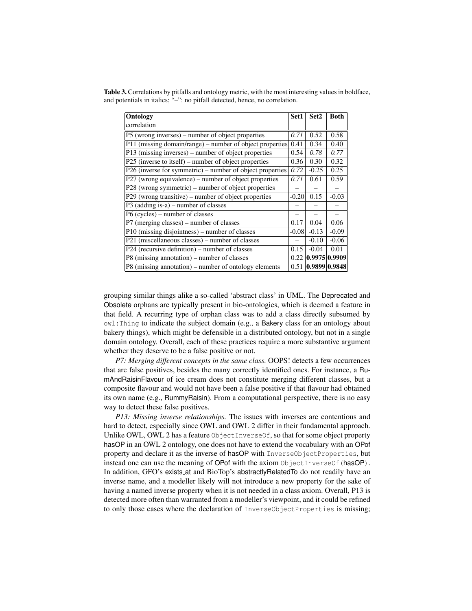Table 3. Correlations by pitfalls and ontology metric, with the most interesting values in boldface, and potentials in italics; "–": no pitfall detected, hence, no correlation.

| Ontology                                                    | Set1    | Set <sub>2</sub> | <b>Both</b> |
|-------------------------------------------------------------|---------|------------------|-------------|
| correlation                                                 |         |                  |             |
| P5 (wrong inverses) – number of object properties           | 0.71    | 0.52             | 0.58        |
| P11 (missing domain/range) – number of object properties    | 0.41    | 0.34             | 0.40        |
| P13 (missing inverses) – number of object properties        | 0.54    | 0.78             | 0.77        |
| P25 (inverse to itself) – number of object properties       | 0.36    | 0.30             | 0.32        |
| $P26$ (inverse for symmetric) – number of object properties | 0.72    | $-0.25$          | 0.25        |
| $P27$ (wrong equivalence) – number of object properties     | 0.71    | 0.61             | 0.59        |
| $P28$ (wrong symmetric) – number of object properties       |         |                  |             |
| P29 (wrong transitive) – number of object properties        | $-0.20$ | 0.15             | $-0.03$     |
| $P3$ (adding is-a) – number of classes                      |         |                  |             |
| $P6$ (cycles) – number of classes                           |         |                  |             |
| P7 (merging classes) – number of classes                    | 0.17    | 0.04             | 0.06        |
| $P10$ (missing disjointness) – number of classes            | $-0.08$ | $-0.13$          | $-0.09$     |
| P21 (miscellaneous classes) – number of classes             |         | $-0.10$          | $-0.06$     |
| $\overline{P24}$ (recursive definition) – number of classes | 0.15    | $-0.04$          | 0.01        |
| $P8$ (missing annotation) – number of classes               | 0.22    | 0.9975 0.9909    |             |
| P8 (missing annotation) – number of ontology elements       | 0.51    | 0.9899 0.9848    |             |

grouping similar things alike a so-called 'abstract class' in UML. The Deprecated and Obsolete orphans are typically present in bio-ontologies, which is deemed a feature in that field. A recurring type of orphan class was to add a class directly subsumed by owl:Thing to indicate the subject domain (e.g., a Bakery class for an ontology about bakery things), which might be defensible in a distributed ontology, but not in a single domain ontology. Overall, each of these practices require a more substantive argument whether they deserve to be a false positive or not.

*P7: Merging different concepts in the same class.* OOPS! detects a few occurrences that are false positives, besides the many correctly identified ones. For instance, a RumAndRaisinFlavour of ice cream does not constitute merging different classes, but a composite flavour and would not have been a false positive if that flavour had obtained its own name (e.g., RummyRaisin). From a computational perspective, there is no easy way to detect these false positives.

*P13: Missing inverse relationships.* The issues with inverses are contentious and hard to detect, especially since OWL and OWL 2 differ in their fundamental approach. Unlike OWL, OWL 2 has a feature Object InverseOf, so that for some object property hasOP in an OWL 2 ontology, one does not have to extend the vocabulary with an OPof property and declare it as the inverse of hasOP with InverseObjectProperties, but instead one can use the meaning of OPof with the axiom ObjectInverseOf(hasOP). In addition, GFO's exists at and BioTop's abstractlyRelatedTo do not readily have an inverse name, and a modeller likely will not introduce a new property for the sake of having a named inverse property when it is not needed in a class axiom. Overall, P13 is detected more often than warranted from a modeller's viewpoint, and it could be refined to only those cases where the declaration of InverseObjectProperties is missing;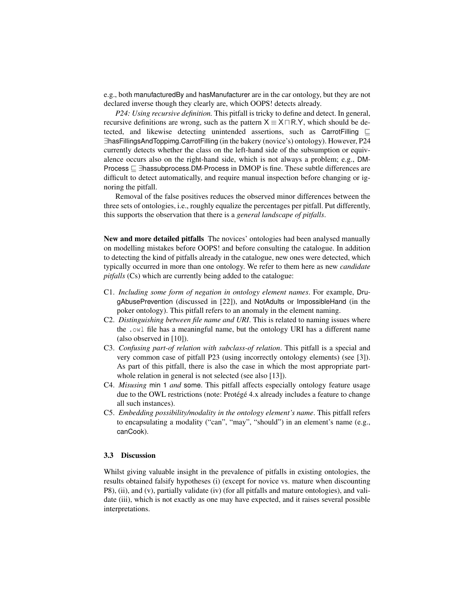e.g., both manufacturedBy and hasManufacturer are in the car ontology, but they are not declared inverse though they clearly are, which OOPS! detects already.

*P24: Using recursive definition.* This pitfall is tricky to define and detect. In general, recursive definitions are wrong, such as the pattern  $X \equiv X \sqcap R.Y$ , which should be detected, and likewise detecting unintended assertions, such as CarrotFilling  $\sqsubseteq$ ∃hasFillingsAndToppimg.CarrotFilling (in the bakery (novice's) ontology). However, P24 currently detects whether the class on the left-hand side of the subsumption or equivalence occurs also on the right-hand side, which is not always a problem; e.g., DM-Process  $\sqsubseteq \exists$ hassubprocess.DM-Process in DMOP is fine. These subtle differences are difficult to detect automatically, and require manual inspection before changing or ignoring the pitfall.

Removal of the false positives reduces the observed minor differences between the three sets of ontologies, i.e., roughly equalize the percentages per pitfall. Put differently, this supports the observation that there is a *general landscape of pitfalls*.

New and more detailed pitfalls The novices' ontologies had been analysed manually on modelling mistakes before OOPS! and before consulting the catalogue. In addition to detecting the kind of pitfalls already in the catalogue, new ones were detected, which typically occurred in more than one ontology. We refer to them here as new *candidate pitfalls* (Cs) which are currently being added to the catalogue:

- C1. *Including some form of negation in ontology element names*. For example, DrugAbusePrevention (discussed in [22]), and NotAdults or ImpossibleHand (in the poker ontology). This pitfall refers to an anomaly in the element naming.
- C2. *Distinguishing between file name and URI*. This is related to naming issues where the .owl file has a meaningful name, but the ontology URI has a different name (also observed in [10]).
- C3. *Confusing part-of relation with subclass-of relation*. This pitfall is a special and very common case of pitfall P23 (using incorrectly ontology elements) (see [3]). As part of this pitfall, there is also the case in which the most appropriate partwhole relation in general is not selected (see also [13]).
- C4. *Misusing* min 1 *and* some. This pitfall affects especially ontology feature usage due to the OWL restrictions (note: Protégé 4.x already includes a feature to change all such instances).
- C5. *Embedding possibility/modality in the ontology element's name*. This pitfall refers to encapsulating a modality ("can", "may", "should") in an element's name (e.g., canCook).

#### 3.3 Discussion

Whilst giving valuable insight in the prevalence of pitfalls in existing ontologies, the results obtained falsify hypotheses (i) (except for novice vs. mature when discounting P8), (ii), and (v), partially validate (iv) (for all pitfalls and mature ontologies), and validate (iii), which is not exactly as one may have expected, and it raises several possible interpretations.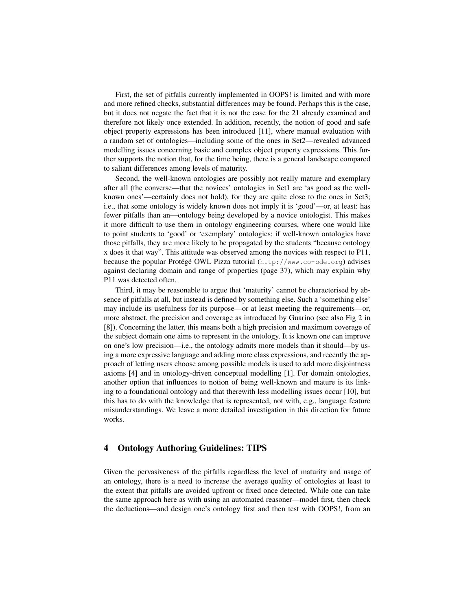First, the set of pitfalls currently implemented in OOPS! is limited and with more and more refined checks, substantial differences may be found. Perhaps this is the case, but it does not negate the fact that it is not the case for the 21 already examined and therefore not likely once extended. In addition, recently, the notion of good and safe object property expressions has been introduced [11], where manual evaluation with a random set of ontologies—including some of the ones in Set2—revealed advanced modelling issues concerning basic and complex object property expressions. This further supports the notion that, for the time being, there is a general landscape compared to saliant differences among levels of maturity.

Second, the well-known ontologies are possibly not really mature and exemplary after all (the converse—that the novices' ontologies in Set1 are 'as good as the wellknown ones'—certainly does not hold), for they are quite close to the ones in Set3; i.e., that some ontology is widely known does not imply it is 'good'—or, at least: has fewer pitfalls than an—ontology being developed by a novice ontologist. This makes it more difficult to use them in ontology engineering courses, where one would like to point students to 'good' or 'exemplary' ontologies: if well-known ontologies have those pitfalls, they are more likely to be propagated by the students "because ontology x does it that way". This attitude was observed among the novices with respect to P11, because the popular Protégé OWL Pizza tutorial (http://www.co-ode.org) advises against declaring domain and range of properties (page 37), which may explain why P11 was detected often.

Third, it may be reasonable to argue that 'maturity' cannot be characterised by absence of pitfalls at all, but instead is defined by something else. Such a 'something else' may include its usefulness for its purpose—or at least meeting the requirements—or, more abstract, the precision and coverage as introduced by Guarino (see also Fig 2 in [8]). Concerning the latter, this means both a high precision and maximum coverage of the subject domain one aims to represent in the ontology. It is known one can improve on one's low precision—i.e., the ontology admits more models than it should—by using a more expressive language and adding more class expressions, and recently the approach of letting users choose among possible models is used to add more disjointness axioms [4] and in ontology-driven conceptual modelling [1]. For domain ontologies, another option that influences to notion of being well-known and mature is its linking to a foundational ontology and that therewith less modelling issues occur [10], but this has to do with the knowledge that is represented, not with, e.g., language feature misunderstandings. We leave a more detailed investigation in this direction for future works.

### 4 Ontology Authoring Guidelines: TIPS

Given the pervasiveness of the pitfalls regardless the level of maturity and usage of an ontology, there is a need to increase the average quality of ontologies at least to the extent that pitfalls are avoided upfront or fixed once detected. While one can take the same approach here as with using an automated reasoner—model first, then check the deductions—and design one's ontology first and then test with OOPS!, from an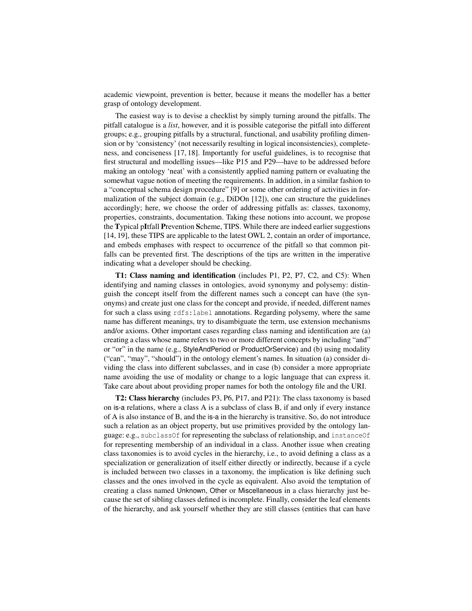academic viewpoint, prevention is better, because it means the modeller has a better grasp of ontology development.

The easiest way is to devise a checklist by simply turning around the pitfalls. The pitfall catalogue is a *list*, however, and it is possible categorise the pitfall into different groups; e.g., grouping pitfalls by a structural, functional, and usability profiling dimension or by 'consistency' (not necessarily resulting in logical inconsistencies), completeness, and conciseness [17, 18]. Importantly for useful guidelines, is to recognise that first structural and modelling issues—like P15 and P29—have to be addressed before making an ontology 'neat' with a consistently applied naming pattern or evaluating the somewhat vague notion of meeting the requirements. In addition, in a similar fashion to a "conceptual schema design procedure" [9] or some other ordering of activities in formalization of the subject domain (e.g., DiDOn [12]), one can structure the guidelines accordingly; here, we choose the order of addressing pitfalls as: classes, taxonomy, properties, constraints, documentation. Taking these notions into account, we propose the Typical pItfall Prevention Scheme, TIPS. While there are indeed earlier suggestions [14, 19], these TIPS are applicable to the latest OWL 2, contain an order of importance, and embeds emphases with respect to occurrence of the pitfall so that common pitfalls can be prevented first. The descriptions of the tips are written in the imperative indicating what a developer should be checking.

T1: Class naming and identification (includes P1, P2, P7, C2, and C5): When identifying and naming classes in ontologies, avoid synonymy and polysemy: distinguish the concept itself from the different names such a concept can have (the synonyms) and create just one class for the concept and provide, if needed, different names for such a class using rdfs:label annotations. Regarding polysemy, where the same name has different meanings, try to disambiguate the term, use extension mechanisms and/or axioms. Other important cases regarding class naming and identification are (a) creating a class whose name refers to two or more different concepts by including "and" or "or" in the name (e.g., StyleAndPeriod or ProductOrService) and (b) using modality ("can", "may", "should") in the ontology element's names. In situation (a) consider dividing the class into different subclasses, and in case (b) consider a more appropriate name avoiding the use of modality or change to a logic language that can express it. Take care about about providing proper names for both the ontology file and the URI.

T2: Class hierarchy (includes P3, P6, P17, and P21): The class taxonomy is based on is-a relations, where a class A is a subclass of class B, if and only if every instance of A is also instance of B, and the is-a in the hierarchy is transitive. So, do not introduce such a relation as an object property, but use primitives provided by the ontology language: e.g., subclassOf for representing the subclass of relationship, and instanceOf for representing membership of an individual in a class. Another issue when creating class taxonomies is to avoid cycles in the hierarchy, i.e., to avoid defining a class as a specialization or generalization of itself either directly or indirectly, because if a cycle is included between two classes in a taxonomy, the implication is like defining such classes and the ones involved in the cycle as equivalent. Also avoid the temptation of creating a class named Unknown, Other or Miscellaneous in a class hierarchy just because the set of sibling classes defined is incomplete. Finally, consider the leaf elements of the hierarchy, and ask yourself whether they are still classes (entities that can have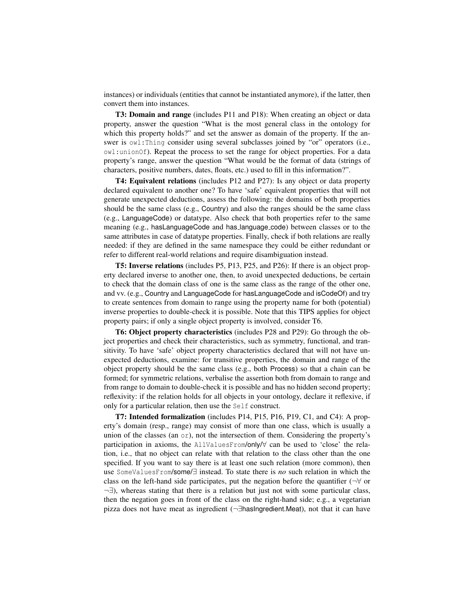instances) or individuals (entities that cannot be instantiated anymore), if the latter, then convert them into instances.

T3: Domain and range (includes P11 and P18): When creating an object or data property, answer the question "What is the most general class in the ontology for which this property holds?" and set the answer as domain of the property. If the answer is owl:Thing consider using several subclasses joined by "or" operators (i.e., owl:unionOf). Repeat the process to set the range for object properties. For a data property's range, answer the question "What would be the format of data (strings of characters, positive numbers, dates, floats, etc.) used to fill in this information?".

T4: Equivalent relations (includes P12 and P27): Is any object or data property declared equivalent to another one? To have 'safe' equivalent properties that will not generate unexpected deductions, assess the following: the domains of both properties should be the same class (e.g., Country) and also the ranges should be the same class (e.g., LanguageCode) or datatype. Also check that both properties refer to the same meaning (e.g., hasLanguageCode and has language code) between classes or to the same attributes in case of datatype properties. Finally, check if both relations are really needed: if they are defined in the same namespace they could be either redundant or refer to different real-world relations and require disambiguation instead.

T5: Inverse relations (includes P5, P13, P25, and P26): If there is an object property declared inverse to another one, then, to avoid unexpected deductions, be certain to check that the domain class of one is the same class as the range of the other one, and vv. (e.g., Country and LanguageCode for hasLanguageCode and isCodeOf) and try to create sentences from domain to range using the property name for both (potential) inverse properties to double-check it is possible. Note that this TIPS applies for object property pairs; if only a single object property is involved, consider T6.

T6: Object property characteristics (includes P28 and P29): Go through the object properties and check their characteristics, such as symmetry, functional, and transitivity. To have 'safe' object property characteristics declared that will not have unexpected deductions, examine: for transitive properties, the domain and range of the object property should be the same class (e.g., both Process) so that a chain can be formed; for symmetric relations, verbalise the assertion both from domain to range and from range to domain to double-check it is possible and has no hidden second property; reflexivity: if the relation holds for all objects in your ontology, declare it reflexive, if only for a particular relation, then use the Self construct.

T7: Intended formalization (includes P14, P15, P16, P19, C1, and C4): A property's domain (resp., range) may consist of more than one class, which is usually a union of the classes (an  $\circ$ r), not the intersection of them. Considering the property's participation in axioms, the AllValuesFrom/only/∀ can be used to 'close' the relation, i.e., that no object can relate with that relation to the class other than the one specified. If you want to say there is at least one such relation (more common), then use SomeValuesFrom/some/∃ instead. To state there is *no* such relation in which the class on the left-hand side participates, put the negation before the quantifier ( $\neg\forall$  or ¬∃), whereas stating that there is a relation but just not with some particular class, then the negation goes in front of the class on the right-hand side; e.g., a vegetarian pizza does not have meat as ingredient (¬∃hasIngredient.Meat), not that it can have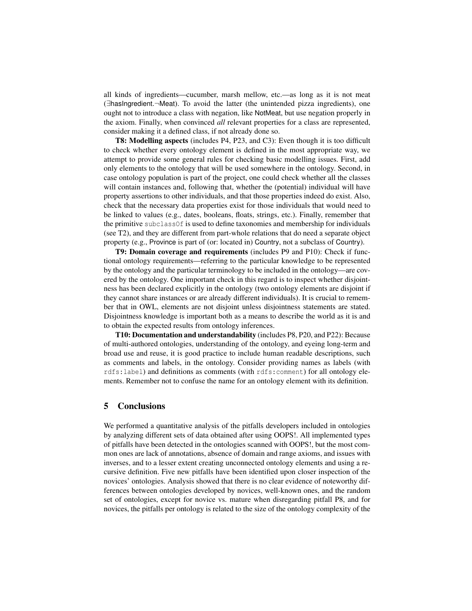all kinds of ingredients—cucumber, marsh mellow, etc.—as long as it is not meat (∃hasIngredient.¬Meat). To avoid the latter (the unintended pizza ingredients), one ought not to introduce a class with negation, like NotMeat, but use negation properly in the axiom. Finally, when convinced *all* relevant properties for a class are represented, consider making it a defined class, if not already done so.

T8: Modelling aspects (includes P4, P23, and C3): Even though it is too difficult to check whether every ontology element is defined in the most appropriate way, we attempt to provide some general rules for checking basic modelling issues. First, add only elements to the ontology that will be used somewhere in the ontology. Second, in case ontology population is part of the project, one could check whether all the classes will contain instances and, following that, whether the (potential) individual will have property assertions to other individuals, and that those properties indeed do exist. Also, check that the necessary data properties exist for those individuals that would need to be linked to values (e.g., dates, booleans, floats, strings, etc.). Finally, remember that the primitive subclassOf is used to define taxonomies and membership for individuals (see T2), and they are different from part-whole relations that do need a separate object property (e.g., Province is part of (or: located in) Country, not a subclass of Country).

T9: Domain coverage and requirements (includes P9 and P10): Check if functional ontology requirements—referring to the particular knowledge to be represented by the ontology and the particular terminology to be included in the ontology—are covered by the ontology. One important check in this regard is to inspect whether disjointness has been declared explicitly in the ontology (two ontology elements are disjoint if they cannot share instances or are already different individuals). It is crucial to remember that in OWL, elements are not disjoint unless disjointness statements are stated. Disjointness knowledge is important both as a means to describe the world as it is and to obtain the expected results from ontology inferences.

T10: Documentation and understandability (includes P8, P20, and P22): Because of multi-authored ontologies, understanding of the ontology, and eyeing long-term and broad use and reuse, it is good practice to include human readable descriptions, such as comments and labels, in the ontology. Consider providing names as labels (with rdfs:label) and definitions as comments (with rdfs:comment) for all ontology elements. Remember not to confuse the name for an ontology element with its definition.

### 5 Conclusions

We performed a quantitative analysis of the pitfalls developers included in ontologies by analyzing different sets of data obtained after using OOPS!. All implemented types of pitfalls have been detected in the ontologies scanned with OOPS!, but the most common ones are lack of annotations, absence of domain and range axioms, and issues with inverses, and to a lesser extent creating unconnected ontology elements and using a recursive definition. Five new pitfalls have been identified upon closer inspection of the novices' ontologies. Analysis showed that there is no clear evidence of noteworthy differences between ontologies developed by novices, well-known ones, and the random set of ontologies, except for novice vs. mature when disregarding pitfall P8, and for novices, the pitfalls per ontology is related to the size of the ontology complexity of the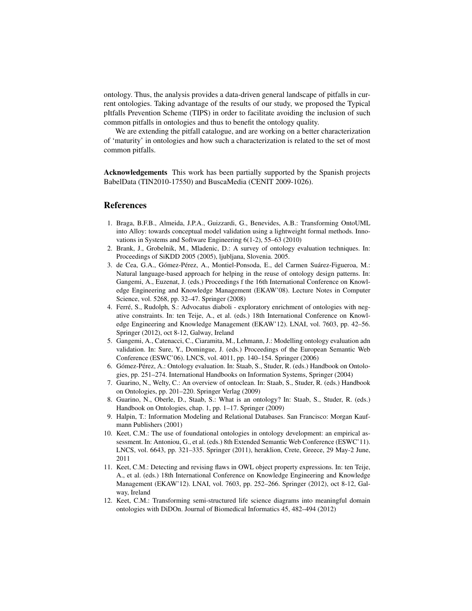ontology. Thus, the analysis provides a data-driven general landscape of pitfalls in current ontologies. Taking advantage of the results of our study, we proposed the Typical pItfalls Prevention Scheme (TIPS) in order to facilitate avoiding the inclusion of such common pitfalls in ontologies and thus to benefit the ontology quality.

We are extending the pitfall catalogue, and are working on a better characterization of 'maturity' in ontologies and how such a characterization is related to the set of most common pitfalls.

Acknowledgements This work has been partially supported by the Spanish projects BabelData (TIN2010-17550) and BuscaMedia (CENIT 2009-1026).

### References

- 1. Braga, B.F.B., Almeida, J.P.A., Guizzardi, G., Benevides, A.B.: Transforming OntoUML into Alloy: towards conceptual model validation using a lightweight formal methods. Innovations in Systems and Software Engineering 6(1-2), 55–63 (2010)
- 2. Brank, J., Grobelnik, M., Mladenic, D.: A survey of ontology evaluation techniques. In: Proceedings of SiKDD 2005 (2005), ljubljana, Slovenia. 2005.
- 3. de Cea, G.A., Gómez-Pérez, A., Montiel-Ponsoda, E., del Carmen Suárez-Figueroa, M.: Natural language-based approach for helping in the reuse of ontology design patterns. In: Gangemi, A., Euzenat, J. (eds.) Proceedings f the 16th International Conference on Knowledge Engineering and Knowledge Management (EKAW'08). Lecture Notes in Computer Science, vol. 5268, pp. 32–47. Springer (2008)
- 4. Ferre, S., Rudolph, S.: Advocatus diaboli exploratory enrichment of ontologies with neg- ´ ative constraints. In: ten Teije, A., et al. (eds.) 18th International Conference on Knowledge Engineering and Knowledge Management (EKAW'12). LNAI, vol. 7603, pp. 42–56. Springer (2012), oct 8-12, Galway, Ireland
- 5. Gangemi, A., Catenacci, C., Ciaramita, M., Lehmann, J.: Modelling ontology evaluation adn validation. In: Sure, Y., Domingue, J. (eds.) Proceedings of the European Semantic Web Conference (ESWC'06). LNCS, vol. 4011, pp. 140–154. Springer (2006)
- 6. Gómez-Pérez, A.: Ontology evaluation. In: Staab, S., Studer, R. (eds.) Handbook on Ontologies, pp. 251–274. International Handbooks on Information Systems, Springer (2004)
- 7. Guarino, N., Welty, C.: An overview of ontoclean. In: Staab, S., Studer, R. (eds.) Handbook on Ontologies, pp. 201–220. Springer Verlag (2009)
- 8. Guarino, N., Oberle, D., Staab, S.: What is an ontology? In: Staab, S., Studer, R. (eds.) Handbook on Ontologies, chap. 1, pp. 1–17. Springer (2009)
- 9. Halpin, T.: Information Modeling and Relational Databases. San Francisco: Morgan Kaufmann Publishers (2001)
- 10. Keet, C.M.: The use of foundational ontologies in ontology development: an empirical assessment. In: Antoniou, G., et al. (eds.) 8th Extended Semantic Web Conference (ESWC'11). LNCS, vol. 6643, pp. 321–335. Springer (2011), heraklion, Crete, Greece, 29 May-2 June, 2011
- 11. Keet, C.M.: Detecting and revising flaws in OWL object property expressions. In: ten Teije, A., et al. (eds.) 18th International Conference on Knowledge Engineering and Knowledge Management (EKAW'12). LNAI, vol. 7603, pp. 252–266. Springer (2012), oct 8-12, Galway, Ireland
- 12. Keet, C.M.: Transforming semi-structured life science diagrams into meaningful domain ontologies with DiDOn. Journal of Biomedical Informatics 45, 482–494 (2012)